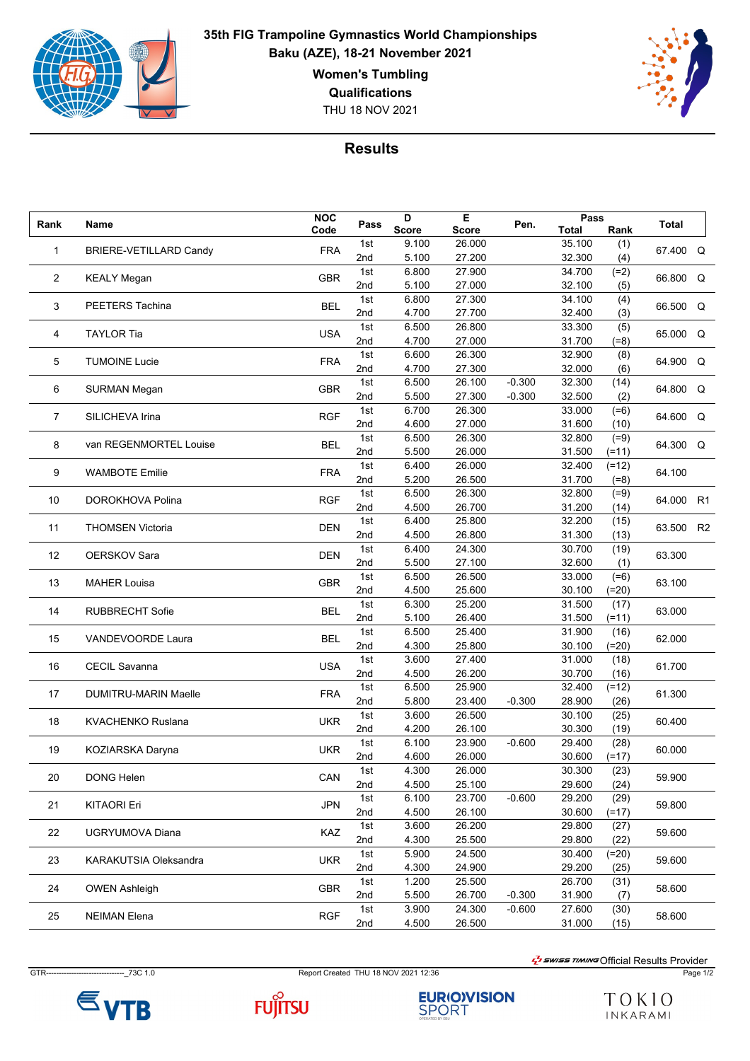

**35th FIG Trampoline Gymnastics World Championships Baku (AZE), 18-21 November 2021 Women's Tumbling Qualifications**

THU 18 NOV 2021



## **Results**

| Rank | Name                          | <b>NOC</b> | Pass       | D              | Е                | Pen.     | Pass             |                | <b>Total</b> |    |
|------|-------------------------------|------------|------------|----------------|------------------|----------|------------------|----------------|--------------|----|
|      |                               | Code       |            | <b>Score</b>   | <b>Score</b>     |          | <b>Total</b>     | Rank           |              |    |
| 1    | <b>BRIERE-VETILLARD Candy</b> | <b>FRA</b> | 1st        | 9.100          | 26.000           |          | 35.100           | (1)            | 67.400 Q     |    |
|      |                               |            | 2nd        | 5.100          | 27.200           |          | 32.300           | (4)            |              |    |
| 2    | <b>KEALY Megan</b>            | <b>GBR</b> | 1st        | 6.800          | 27.900           |          | 34.700           | $(=2)$         | 66.800 Q     |    |
|      |                               |            | 2nd        | 5.100          | 27.000           |          | 32.100           | (5)            |              |    |
| 3    | PEETERS Tachina               | <b>BEL</b> | 1st        | 6.800          | 27.300           |          | 34.100           | (4)            | 66.500 Q     |    |
|      |                               |            | 2nd        | 4.700          | 27.700           |          | 32.400           | (3)            |              |    |
| 4    | <b>TAYLOR Tia</b>             | <b>USA</b> | 1st        | 6.500          | 26.800           |          | 33.300           | (5)            | 65.000 Q     |    |
|      |                               |            | 2nd        | 4.700          | 27.000           |          | 31.700           | $(=8)$         |              |    |
| 5    | <b>TUMOINE Lucie</b>          | <b>FRA</b> | 1st        | 6.600          | 26.300           |          | 32.900           | (8)            | 64.900 Q     |    |
|      |                               |            | 2nd<br>1st | 4.700<br>6.500 | 27.300<br>26.100 | $-0.300$ | 32.000<br>32.300 | (6)            |              |    |
| 6    | <b>SURMAN Megan</b>           | <b>GBR</b> | 2nd        |                |                  |          |                  | (14)           | 64.800 Q     |    |
|      |                               |            | 1st        | 5.500<br>6.700 | 27.300<br>26.300 | $-0.300$ | 32.500<br>33.000 | (2)            |              |    |
| 7    | SILICHEVA Irina               | <b>RGF</b> | 2nd        | 4.600          | 27.000           |          | 31.600           | $(=6)$<br>(10) | 64.600 Q     |    |
|      |                               |            | 1st        | 6.500          | 26.300           |          | 32.800           | $(=9)$         |              |    |
| 8    | van REGENMORTEL Louise        | BEL        | 2nd        | 5.500          | 26.000           |          | 31.500           | $(=11)$        | 64.300 Q     |    |
|      |                               |            | 1st        | 6.400          | 26.000           |          | 32.400           | $(=12)$        |              |    |
| 9    | <b>WAMBOTE Emilie</b>         | <b>FRA</b> | 2nd        | 5.200          | 26.500           |          | 31.700           | $(=8)$         | 64.100       |    |
|      |                               |            | 1st        | 6.500          | 26.300           |          | 32.800           | $(=9)$         |              |    |
| 10   | DOROKHOVA Polina              | <b>RGF</b> | 2nd        | 4.500          | 26.700           |          | 31.200           | (14)           | 64.000       | R1 |
|      |                               |            | 1st        | 6.400          | 25.800           |          | 32.200           | (15)           |              |    |
| 11   | <b>THOMSEN Victoria</b>       | <b>DEN</b> | 2nd        | 4.500          | 26.800           |          | 31.300           | (13)           | 63.500       | R2 |
|      |                               |            | 1st        | 6.400          | 24.300           |          | 30.700           | (19)           |              |    |
| 12   | <b>OERSKOV Sara</b>           | <b>DEN</b> | 2nd        | 5.500          | 27.100           |          | 32.600           | (1)            | 63.300       |    |
|      |                               |            | 1st        | 6.500          | 26.500           |          | 33.000           | $(=6)$         |              |    |
| 13   | <b>MAHER Louisa</b>           | <b>GBR</b> | 2nd        | 4.500          | 25.600           |          | 30.100           | $(=20)$        | 63.100       |    |
|      |                               |            | 1st        | 6.300          | 25.200           |          | 31.500           | (17)           |              |    |
| 14   | <b>RUBBRECHT Sofie</b>        | <b>BEL</b> | 2nd        | 5.100          | 26.400           |          | 31.500           | $(=11)$        | 63.000       |    |
|      |                               |            | 1st        | 6.500          | 25.400           |          | 31.900           | (16)           |              |    |
| 15   | <b>VANDEVOORDE Laura</b>      | <b>BEL</b> | 2nd        | 4.300          | 25.800           |          | 30.100           | $(=20)$        | 62.000       |    |
|      |                               |            | 1st        | 3.600          | 27.400           |          | 31.000           | (18)           |              |    |
| 16   | <b>CECIL Savanna</b>          | <b>USA</b> | 2nd        | 4.500          | 26.200           |          | 30.700           | (16)           | 61.700       |    |
|      |                               |            | 1st        | 6.500          | 25.900           |          | 32.400           | $(=12)$        |              |    |
| 17   | DUMITRU-MARIN Maelle          | <b>FRA</b> | 2nd        | 5.800          | 23.400           | $-0.300$ | 28.900           | (26)           | 61.300       |    |
|      |                               | <b>UKR</b> | 1st        | 3.600          | 26.500           |          | 30.100           | (25)           | 60.400       |    |
| 18   | <b>KVACHENKO Ruslana</b>      |            | 2nd        | 4.200          | 26.100           |          | 30.300           | (19)           |              |    |
| 19   |                               | <b>UKR</b> | 1st        | 6.100          | 23.900           | $-0.600$ | 29.400           | (28)           | 60.000       |    |
|      | KOZIARSKA Daryna              |            | 2nd        | 4.600          | 26.000           |          | 30.600           | $(=17)$        |              |    |
| 20   | DONG Helen                    | CAN        | 1st        | 4.300          | 26.000           |          | 30.300           | (23)           | 59.900       |    |
|      |                               |            | 2nd        | 4.500          | 25.100           |          | 29.600           | (24)           |              |    |
| 21   | <b>KITAORI Eri</b>            | <b>JPN</b> | 1st        | 6.100          | 23.700           | $-0.600$ | 29.200           | (29)           | 59.800       |    |
|      |                               |            | 2nd        | 4.500          | 26.100           |          | 30.600           | (=17)          |              |    |
| 22   | UGRYUMOVA Diana               | KAZ        | 1st        | 3.600          | 26.200           |          | 29.800           | (27)           | 59.600       |    |
|      |                               |            | 2nd        | 4.300          | 25.500           |          | 29.800           | (22)           |              |    |
| 23   | KARAKUTSIA Oleksandra         | <b>UKR</b> | 1st        | 5.900          | 24.500           |          | 30.400           | (=20)          | 59.600       |    |
|      |                               |            | 2nd        | 4.300          | 24.900           |          | 29.200           | (25)           |              |    |
| 24   | <b>OWEN Ashleigh</b>          | GBR        | 1st        | 1.200          | 25.500           |          | 26.700           | (31)           | 58.600       |    |
|      |                               |            | 2nd        | 5.500          | 26.700           | $-0.300$ | 31.900           | (7)            |              |    |
| 25   | <b>NEIMAN Elena</b>           | <b>RGF</b> | 1st        | 3.900          | 24.300           | $-0.600$ | 27.600           | (30)           | 58.600       |    |
|      |                               |            | 2nd        | 4.500          | 26.500           |          | 31.000           | (15)           |              |    |

GTR-------------------------------\_73C 1.0 Report Created THU 18 NOV 2021 12:36 Page 1/2

 $\varepsilon$ <sub>VTB</sub>



**EURIO)VISION**<br>SPORT

 $\frac{1}{2}$ swiss TIMING Official Results Provider

TOKIO INKARAMI